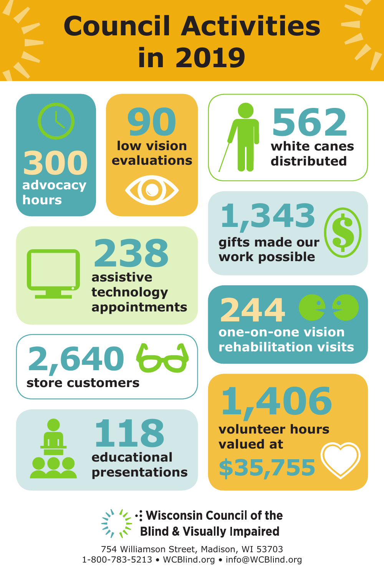# **Council Activities in 2019**



V: Wisconsin Council of the **Blind & Visually Impaired** 

754 Williamson Street, Madison, WI 53703 1-800-783-5213 • WCBlind.org • info@WCBlind.org